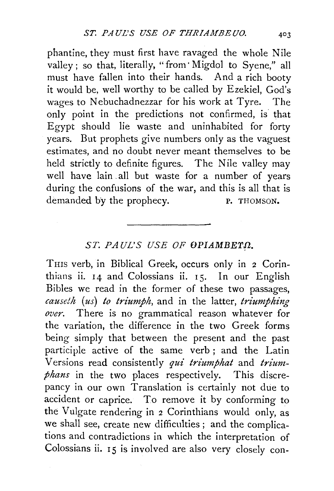phantine, they must first have ravaged the whole Nile valley; so that, literally, "from· Migdol to Syene," all must have fallen into their hands. And a rich booty it would be, well worthy to be called by Ezekiel, God's wages to Nebuchadnezzar for his work at Tyre. The only point in the predictions not confirmed, is that Egypt should lie waste and uninhabited for forty years. But prophets give numbers only as the vaguest estimates, and no doubt never meant themselves to be held strictly to definite figures. The Nile valley may well have lain all but waste for a number of years during the confusions of the war, and this is all that is demanded by the prophecy. P. THOMSON.

## ST. PAUL'S USE OF OPIAMBETΩ.

THIS verb, in Biblical Greek, occurs only in 2 Corinthians ii. 14 and Colossians ii. 15. In our English Bibles we read in the former of these two passages, *causeth* (us) *to triumph*, and in the latter, *triumphing over.* There is no grammatical reason whatever for the variation, the difference in the two Greek forms being simply that between the present and the past participle active of the same verb ; and the Latin Versions read consistently *qui triumphat* and *triumphans* in the two places respectively. This discrepancy in our own Translation is certainly not due to accident or caprice. To remove it by conforming to the Vulgate rendering in 2 Corinthians would only, as we shall see, create new difficulties ; and the complications and contradictions in which the interpretation of Colossians ii. 15 is involved are also very closely con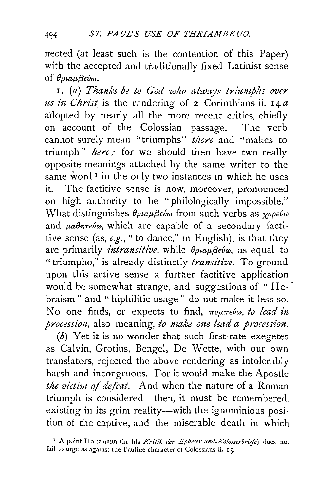nected (at least such is the contention of this Paper) with the accepted and traditionally fixed Latinist sense of  $\theta$ *ptau* $\beta$ εύω.

1. (a) *Thanks be to God who always triumphs over us in Christ* is the rendering of 2 Corinthians ii. 14 *a*  adopted by nearly all the more recent critics, chiefly on account of the Colossian passage. The verb cannot surely mean "triumphs" *there* and "makes to triumph" *here*; for we should then have two really opposite meanings attached by the same writer to the same word<sup>1</sup> in the only two instances in which he uses it. The factitive sense is now, moreover, pronounced on high authority to be "philologically impossible." What distinguishes  $\theta_{\rho\mu\alpha\mu\beta\epsilon\omega}$  from such verbs as  $\gamma_{\rho\sigma\epsilon\omega}$ and  $\mu a \theta \eta \tau \epsilon \nu \omega$ , which are capable of a secondary factitive sense (as, *e.g.,"* to dance," in English), is that they are primarily *intransitive*, while  $\theta_{\rho\mu}$ *evo*, as equal to "triumpho," is already distinctly *transitive*. To ground upon this active sense a further factitive application would be somewhat strange, and suggestions of "Hebraism " and " hiphilitic usage" do not make it less so. No one finds, or expects to find,  $\pi$ ou $\pi$ eúω, to lead in *procession,* also meaning, *lo make one lead a procession.* 

( $\delta$ ) Yet it is no wonder that such first-rate exegetes as Calvin, Grotius, Bengel, De Wette, with our own translators, rejected the above rendering as intolerably harsh and incongruous. For it would make the Apostle *the victim* of *defeat.* And when the nature of a Roman triumph is considered—then, it must be remembered, existing in its grim reality-with the ignominious position of the captive, and the miserable death in which

<sup>&</sup>lt;sup>1</sup> A point Holtzmann (in his Kritik der Epheser-und-Kolosserbriefe) does not fail to urge as against the Pauline character of Colossians ii. 15.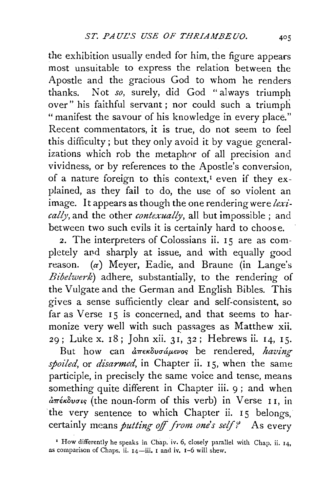the exhibition usually ended for him, the figure appears most unsuitable to express the relation between the Apostle and the gracious God to whom he renders thanks. Not *so,* surely, did God "always triumph over" his faithful servant ; nor could such a triumph " manifest the savour of his knowledge in every place." Recent commentators, it is true, do not seem to feel this difficulty; but they only avoid it by vague generalizations which rob the metaphor of all precision and vividness, or by references to the Apostle's conversion, of a nature foreign to this context,<sup>1</sup> even if they explained, as they fail to do, the use of so violent an image. It appears as though the one rendering were *lexically,* and the other *contexually,* all but impossible ; and between two such evils it is certainly hard to choose.

2. The interpreters of Colossians ii. 15 are as completely and sharply at issue, and with equally good  $r$ eason. ( $\alpha$ ) Meyer, Eadie, and Braune (in Lange's *Bibelwerk)* adhere, substantially, to the rendering of the Vulgate and the German and English Bibles. This gives a sense sufficiently clear and self-consistent, so far as Verse 15 is concerned, and that seems to harmonize very well with such passages as Matthew xii. 29; Luke x. 18; John xii. 3I, 32; Hebrews ii. 14, IS.

But how can *απεκδυσάμενος* be rendered, *having spoiled*, or *disarmed*, in Chapter ii. 15, when the same participle, in precisely the same voice and tense, means something quite different in Chapter iii. 9; and when  $d\pi$ *έκδυσις* (the noun-form of this verb) in Verse II, in the very sentence to which Chapter ii. 15 belongs, certainly means *putting off from one's self?* As every

<sup>&#</sup>x27; How differently he speaks in Chap. iv. 6, closely parallel with Chap. ii. 14, as comparison of Chaps. ii. 14-iii. 1 and iv. 1-6 will shew.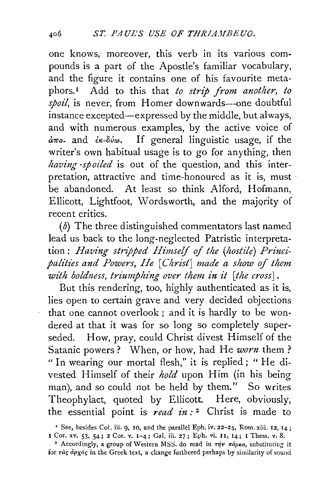one knows, moreover, this verb in its various compounds is a part of the Apostle's familiar vocabulary, and the figure it contains one of his favourite metaphors. 1 Add to this that *to strip from another, to*  spoil, is never, from Homer downwards--one doubtful instance excepted-expressed by the middle, but always, and with numerous examples, by the active voice of *a7ro-* and €K-DVw. If general linguistic usage, if the writer's own habitual usage is to go for anything, then *having ·spoiled* is out of the question, and this interpretation, attractive and time-honoured as it is, must · be abandoned. At least so think Alford, Hofmann, Ellicott, Lightfoot, Wordsworth, and the majority of recent critics.

(b) The three distinguished commentators last named lead us back to the long-neglected Patristic interpretation: *Having stripped Himself of the (hostile) Princi*palities and Powers, He [Christ] made a show of them *with boldness, triumphing over them in it [the cross]* .

But this rendering, too, highly authenticated as it is, lies open to certain grave and very decided objections that one cannot overlook ; and it is hardly to be wondered at that it was for so long so completely superseded. How, pray, could Christ divest Himself of the Satanic powers ? When, or how, had He *worn* them ? " In wearing our mortal flesh," it is replied; " He divested Himself of their *hold* upon **Him** (in his being man), and so could not be held by them." So writes Theophylact, quoted by Ellicott. Here, obviously, the essential point is *read in:* 2 Christ is made to

<sup>&#</sup>x27; See, besides Col. iii. 9, ro, and the parallel Eph. iv. 22-24, Rom. xiii. 12, 14; I Cor. xv. 53, 54; 2 Cor. v. 1-4; Gal. iii. 27; Eph. vi. II, 14; I Thess. v. 8.

<sup>&</sup>lt;sup>2</sup> Accordingly, a group of Western MSS. do read in  $\tau \dot{\eta} \nu$   $\sigma \dot{\alpha}$  ac, substituting it for  $r\dot{a}$   $\dot{q}$   $\dot{q}$   $\dot{q}$   $\dot{q}$  in the Greek text, a change furthered perhaps by similarity of sound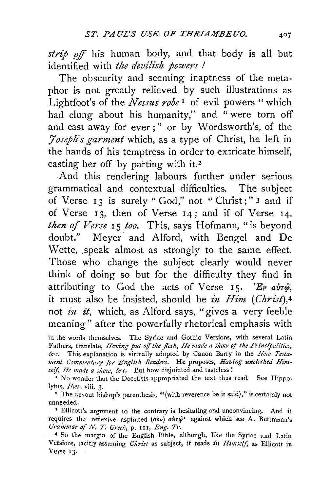strip off his human body, and that body is all but identified with *the devilish powers I* 

The obscurity and seeming inaptness of the metaphor is not greatly relieved by such illustrations as Lightfoot's of the *Nessus robe* 1 of evil powers "which had clung about his humanity," and " were torn off and cast away for ever;" or by Wordsworth's, of the *'Joseph's garment* which, as a type of Christ, he left in the hands of his temptress in order to extricate himself, casting her off by parting with it.<sup>2</sup>

And this rendering labours further under serious grammatical and contextual difficulties. The subject of Verse 13 is surely "God," not "Christ;" 3 and if of Verse  $13$ , then of Verse  $14$ ; and if of Verse  $14$ , *then of Verse* 15 *too.* This, says Hofmann, "is beyond doubt." Meyer. and Alford, with Bengel and De Wette, speak almost as strongly to the same effect. Those who change the subject clearly would never think of doing so but for the difficulty they find in attributing to God the acts of Verse 15. 'Ev  $a\dot{v}\tau\hat{\varphi}$ , it must also be insisted, should be *in Him (Christ*),<sup>4</sup> not *in £t,* which, as Alford says, "gives a very feeble meaning" after the powerfully rhetorical emphasis with

in the words themselves. The Syriac and Gothic Versions, with several Latin Fathers, translate, *Having put off the flesh*, *He made a show of the Principalities*, *&>c.* This explanation is virtually adopted by Canon Barry in the *New Testa*ment Commentary for English Readers. He proposes, Having unclothed Himself, He made a show, &c. But how disjointed and tasteless !

<sup>I</sup> No wonder that the Docetists appropriated the text thus read. See Hippolytus,  $Her.$  viii. 3.

<sup>2</sup> The devout bishop's parenthesis, "(with reverence be it said)," is certainly not unneeded.

3 Ellicott's argument to the contrary is hesitating and unconvincing. And it requires the reflexive aspirated  $(\vec{v}v)$   $\vec{a}v\vec{v}$  against which see A. Buttmann's *Grammar of N. T. Greek*, p. 111, *Eng. Tr.* 

4 So the margin of the English Bible, although, like the Syriac and Latin Versions, tacitly assuming *Christ* as subject, it reads in *Himself*, as Ellicott in Verse I3·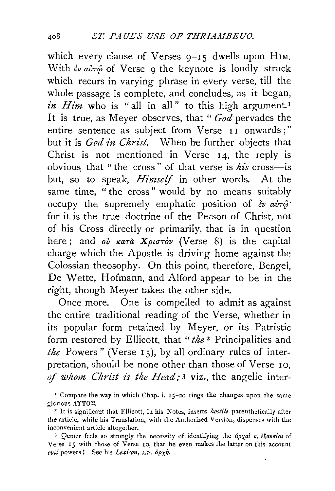which every clause of Verses  $9-15$  dwells upon HIM. With *ἐν αὐτ*ώ of Verse 9 the keynote is loudly struck which recurs in varying phrase in every verse, till the whole passage is complete, and concludes, as it began, *in Him* who is "all in all" to this high argument.<sup>1</sup> It is true, as Meyer observes, that " *God* pervades the entire sentence as subject from Verse II onwards;" but it is *God in Christ.* When he further objects that Christ is not mentioned in Verse 14, the reply is obvious that "the cross" of that verse is *his* cross-is but, so to speak, *Himself* in other words. At the same time, " the cross" would by no means suitably occupy the supremely emphatic position of *€v aimjJ"*  for it is the true doctrine of the Person of Christ, not of his Cross directly or primarily, that is in question here; and ov  $\kappa a\tau a$  *Xpustov* (Verse 8) is the capital charge which the Apostle is driving home against the Colossian theosophy. On this point, therefore, Bengel, De Wette, Hofmann, and Alford appear to be in the right, though Meyer takes the other side.

Once more. One is compelled to admit as against the entire traditional reading of the Verse, whether in its popular form retained by Meyer, or its Patristic form restored by Ellicott, that *"the* 2 Principalities and *the* Powers" (Verse Is), by all ordinary rules of interpretation, should be none other than those of Verse 10. of whom Christ is the Head;<sup>3</sup> viz., the angelic inter-

<sup>&</sup>lt;sup>I</sup> Compare the way in which Chap. i.  $15$ -20 rings the changes upon the same glorious AΥΤΟΣ.

<sup>&</sup>lt;sup>2</sup> It is significant that Ellicott, in his Notes, inserts *hostile* parenthetically after the article, while his Translation, with the Authorized Version, dispenses with the

inconvenient article altogether.<br><sup>3</sup> Qemer feels so strongly the necessity of identifying the  $d\rho\chi a\chi k$ , *ifovoiat* of Verse 15 with those of Verse 10, that he even makes the latter on this account  $\epsilon$ *vil* powers! See his *Lexicon*,  $s, v$ .  $d\rho \chi \eta$ .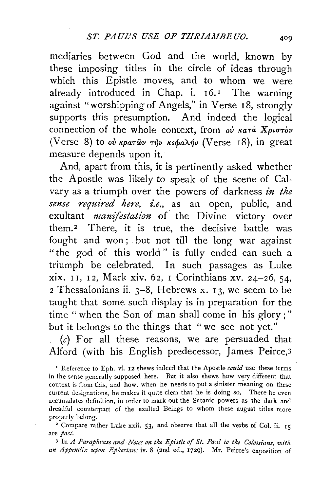mediaries between God and the world, known by these imposing titles in the circle of ideas through which this Epistle moves, and to whom we were already introduced in Chap. i.  $16.1$  The warning against "worshipping of Angels," in Verse 18, strongly supports this presumption. And indeed the logical connection of the whole context, from  $o\dot{v}$   $\kappa a\tau\dot{a}$   $X\rho\iota\sigma\tau\dot{\sigma}\nu$ (Verse 8) to *ού κρατών την κεφαλήν* (Verse 18), in great measure depends upon it.

And, apart from this, it is pertinently asked whether the Apostle was likely to speak of the scene of Calvary as a triumph over the powers of darkness *in the sense required here, i.e.,* as an open, public, and exultant *manifestation* of· the Divine victory over them.<sup>2</sup> There, it is true, the decisive battle was fought and won ; but not till the long war against "the god of this world" is fully ended can such a triumph be celebrated. In such passages as Luke xix. I I, I 2, Mark xiv. 62, I Corinthians xv. 24-26, 54, 2 Thessalonians ii.  $3-8$ , Hebrews x. 13, we seem to be taught that some such display is in preparation for the time "when the Son of man shall come in his glory;" but it belongs to the things that "we see not yet."

 $(c)$  For all these reasons, we are persuaded that Alford (with his English predecessor, James Peirce,3

<sup>1</sup> Reference to Eph. vi. 12 shews indeed that the Apostle *could* use these terms in the sense generally supposed here. But it also shews how very difterent that context is from this, and how, when he needs to put a sinister meaning on these current designations, he makes it quite clear that he is doing so. There he even accumulates definition, in order to mark out the Satanic powers as the dark and dreadful counterpart of the exalted Beings to whom these august titles more properly belong.

<sup>2</sup> Compare rather Luke xxii. 53, and observe that all the verbs of Col. ii. 15 are *past.* 

<sup>3</sup> In *A Paraphrase and Notes on the Epistle of St. Paul to the Colossians, with* an Appendix upon Ephesians iv. 8 (2nd ed., 1729). Mr. Peirce's exposition of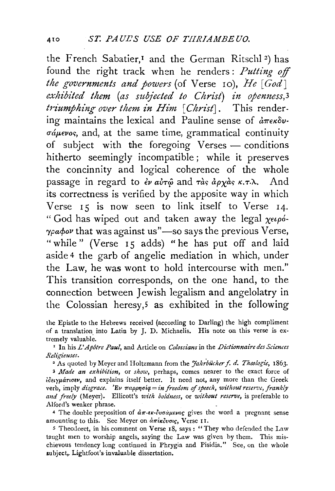the French Sabatier,<sup>1</sup> and the German Ritschl<sup>2</sup>) has found the right track when he renders : *Putting off the governments and powers* (of Verse 10), *He [God]*  exhibited them (as subjected to Christ) in openness, 3 *triumphing over them in Him* [*Christ*]. This rendering maintains the lexical and Pauline sense of  $\hat{a} \pi \epsilon \hat{\kappa} \hat{\delta} \nu$ - $\sigma \omega \neq \omega$ , and, at the same time, grammatical continuity of subject with the foregoing Verses - conditions hitherto seemingly incompatible; while it preserves the concinnity and logical coherence of the whole passage in regard to  $\epsilon \nu a \nu \tau \hat{\omega}$  and  $\tau \hat{\alpha} \hat{\delta} a \rho \gamma \hat{\alpha} \hat{\delta} \kappa \tau \tau \lambda$ . And its correctness is verified by the apposite way in which Verse  $15$  is now seen to link itself to Verse  $14$ . "God has wiped out and taken away the legal  $\chi_{\epsilon}$  $\gamma$ pa $\phi$ ov that was against us" $-$ so says the previous Verse, "while" (Verse 15 adds) "he has put off and laid aside 4 the garb of angelic mediation in which, under the Law, he was wont to hold intercourse with men." This transition corresponds, on the one hand, to the connection between Jewish legalism and angelolatry in the Colossian heresy,<sup>5</sup> as exhibited in the following

' In his *L' Apotre Paul,* and Article on *Colossians* in the *Dictionnaire des Sciences Religieuses.* .

<sup>2</sup> As quoted by Meyer and Holtzmann from the *Jahrbücher f. d. Theologie*, 1863.

<sup>3</sup>*Made an exhibition,* or *show,* perhaps, comes nearer to the exact force of idetypáriouv, and explains itself better. It need not, any more than the Greek verb, imply *disgrace.* 'Ev  $\pi$ appnoia = in freedom of speech, without reserve, frankly *and freely* (Meyer). Ellicott's *with boldness,* or *without reserve,* is preferable to Alford's weaker phrase.

<sup>4</sup> The double preposition of  $d\pi$ - $\epsilon \kappa$ -co $d\mu \epsilon \nu o \varsigma$  gives the word a pregnant sense amounting to this. See Meyer on  $\hat{a}\pi\hat{i}\kappa\hat{o}v\sigma\iota\varsigma$ , Verse II.

s Theodoret, in his comment on Verse 18, says: "They who defended the Law taught men to worship angels, saying the Law was given by them. This mischievous tendency long continued in Phrygia and Pisidia." See, on the whole subject, Lightfoot's invaluable dissertation.

the Epistle to the Hebrews received (according to Darling) the high compliment of a translation into Latin by J. D. Michaelis. His note on this verse is extremely valuable.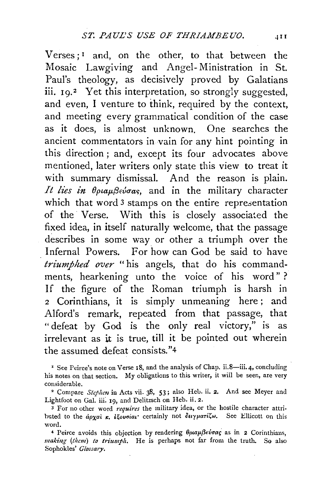Verses; $<sup>I</sup>$  and, on the other, to that between the</sup> Mosaic Lawgiving and Angel- Ministration in St. Paul's theology, as decisively proved by Galatians iii. 19.<sup>2</sup> Yet this interpretation, so strongly suggested, and even, I venture to think, required by the context, and meeting every grammatical condition of the case as it does, is almost unknown. One searches the ancient commentators in vain for any hint pointing in this direction ; and, except its four advocates above mentioned, later writers only state this view to treat it with summary dismissal. And the reason is plain. *It lies in*  $\theta_{\rho\mu\alpha\mu\beta\epsilon\sigma\alpha s}$ *, and in the military character* which that word 3 stamps on the entire representation of the Verse. With this is closely associated the fixed idea, in itself naturally welcome, that the passage describes in some way or other a triumph over the Infernal Powers. For how can God be said to have *triumphed over* "his angels, that do his commandments, hearkening unto the voice of his word" ? If the figure of the Roman triumph is harsh in 2 Corinthians, it is simply unmeaning here ; and Alford's remark, repeated from that passage, that "defeat by God is the only real victory," is as irrelevant as it is true, till it be pointed out wherein the assumed defeat consists."4

<sup>1</sup> See Peirce's note on Verse 18, and the analysis of Chap. ii.8-iii. 4, concluding his notes on that section. My obligations to this writer, it will be seen, are very considerable.

<sup>2</sup> Compare *Stephen* in Acts vii. 38, 53; also Heb. ii. 2. And see Meyer and Lightfoot on Gal. iii. 19, and Delitzsch on Heb. ii. 2.

<sup>3</sup> For no other word *requires* the military idea, or the hostile character attributed to the *apxai* **x**, *itovoial* certainly not  $\delta$ *explari* $\zeta \omega$ . See Ellicott on this word.

<sup>4</sup> Peirce avoids this objection by rendering θριαμβεύσας as in 2 Corinthians, making (them) to triumph. He is perhaps not far from the truth. So also Sophokles' *Glossary.*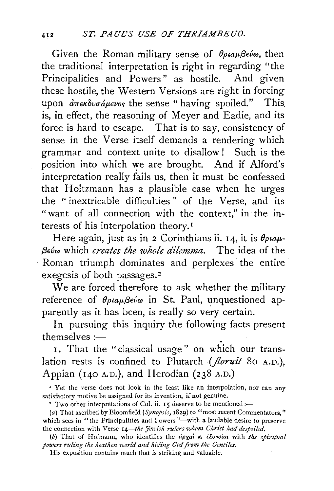Given the Roman military sense of  $\theta \rho \alpha \mu \beta \epsilon \omega$ , then the traditional interpretation is right in regarding "the Principalities and Powers" as hostile. And given these hostile, the Western Versions are right in forcing upon  $\partial \pi \epsilon \kappa \partial \nu \partial \mu \epsilon \nu \partial \rho$  the sense "having spoiled." This. is, in effect, the reasoning of Meyer and Eadie, and its force is hard to escape. That is to say, consistency of sense in the Verse itself demands a rendering which grammar and context unite to disallow! Such is the position into which we are brought. And if Alford's interpretation really fails us, then it must be confessed that Holtzmann has a plausible case when he urges the " inextricable difficulties " of the Verse, and its "want of all connection with the context," in the interests of his interpolation theory. <sup>1</sup>

Here again, just as in 2 Corinthians ii. 14, it is  $\theta_{\rho\mu}$ . */3evw* which *creates the whole dilemma.* The idea of the Roman triumph dominates and perplexes the entire exegesis of both passages.<sup>2</sup>

We are forced therefore to ask whether the military reference of θριαμβεύω in St. Paul, unquestioned apparently as it has been, is really so very certain.

In pursuing this inquiry the following facts present themselves :-

I. That the "classical usage" on which our translation rests is confined to Plutarch (*floruit* 80 A.D.), Appian (140 A.D.), and Herodian (238 A.D.)

' Yet the verse does not look in the least like an interpolation, nor can any satisfactory motive be assigned for its invention, if not genuine.<br><sup>2</sup> Two other interpretations of Col. ii. 15 deserve to be mentioned:--

*(a)* That ascribed by Bloom field *(Synopsis,* 1829) to "most recent Commentators," which sees in "the Principalities and Powers"—with a laudable desire to preserve the connection with Verse 14-the Jewish rulers whom Christ had despoiled.

*(b)* That of Hofmann, who identifies the *apxal x. ifovoial with the spiritual* powers ruling the heathen world and hiding God from the Gentiles.

His exposition contains much that is striking and valuable.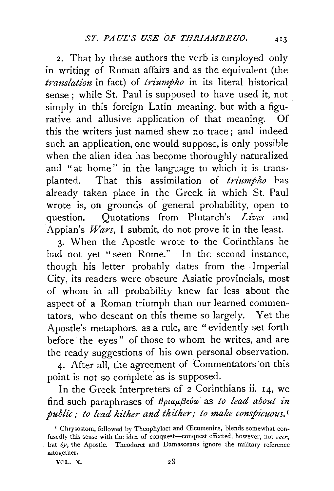*2.* That by these authors the verb is employed only in writing of Roman affairs and as the equivalent (the *translation* in fact) of *triumpho* in its literal historical sense ; while St. Paul is supposed to have used it, not simply in this foreign Latin meaning, but with a figurative and allusive application of that meaning. Of this the writers just named shew no trace; and indeed such an application, one would suppose, is only possible when the alien idea has become thoroughly naturalized and "at home" in the language to which it is transplanted. That this assimilation of *triumpho* has already taken place in the Greek in which St. Paul wrote is, on grounds of general probability, open to question. Quotations from Plutarch's *Lives* and Appian's *Wars,* I submit, do not prove it in the least.

3· When the Apostle wrote to the Corinthians he had not yet "seen Rome." In the second instance, though his letter probably dates from the . Imperial City, its readers were obscure Asiatic provincials, most of whom in all probability knew far less about the aspect of a Roman triumph than our learned commentators, who descant on this theme so largely. Yet the Apostle's metaphors, as a rule, are "evidently set forth before the eyes" of those to whom he writes, and are the ready suggestions of his own personal observation.

4. After all, the agreement of Commentators on this point is not so complete as is supposed.

In the Greek interpreters of *2* Corinthians ii. 14, we find such paraphrases of *Optap,f3evw* as *to lead about in public; to lead hither and thither; to make conspicuous.* <sup>1</sup>

<sup>&</sup>lt;sup>1</sup> Chrysostom, followed by Theophylact and Œcumenius, blends somewhat confusedly this sense with the idea of conquest-conquest effected, however, not over, but by, the Apostle. Theodoret and Damascenus ignore the military reference altogetner.

V0L. X.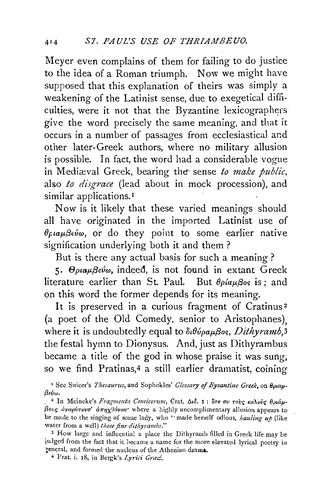Meyer even complains of them for failing to do justice to the idea of a Roman triumph. Now we might have supposed that this explanation of theirs was simply a weakening of the Latinist sense, due to exegetical difficulties, were it not that the Byzantine lexicographers give the word precisely the same meaning, and that it occurs in a number of passages from ecclesiastical and other later-Greek authors, where no military allusion is possible. In fact, the word had a considerable vogue in Mediæval Greek, bearing the sense to make public, also *to disgrace* (lead about in mock procession), and similar applications.<sup>1</sup>

Now is it likely that these varied meanings should all have originated in the imported Latinist use of  $\theta_{\mathcal{E}}$ *ia* $\mu$  $\beta_{\mathcal{E}}$ *i* $\omega$ , or do they point to some earlier native signification underlying both it and them ?

But is there any actual basis for such a meaning ?

5. Θριαμβεύω, indeed, is not found in extant Greek literature earlier than St. Paul. But  $\theta \rho / \alpha \mu \beta$ os is; and on this word the former depends for its meaning.

It is preserved in a curious fragment of Cratinus<sup>2</sup> (a poet of the Old Comedy, senior to Aristophanes), where it is undoubtedly equal to  $\delta \theta \psi \rho \alpha \mu \beta o s$ , *Dithyramb*, 3 the festal hymn to Dionysus. And, just as Dithyrambus became a title of the god in whose praise it was sung, so we find Pratinas,4 a still earlier dramatist, coining

<sup>1</sup> See Suicer's *Thesaurus*, and Sophokles' *Glossary of Byzantine Greek*, on  $\theta_0$ uau-*{3<vw.* 

<sup>2</sup> In Meineke's *Fragmenta Comicorum*, Crat. Διδ. 1 : ότε συ τους καλούς θριάμ-*{3ovr; avapvrova' a7T•lx9a,ov·* where a highly uncomplimentary allusion appears to be made to the singing of some lady, who "made herself odious, *hauling up* (like water from a well) *those fine dithyrambs."* 

3 How large and influential a place the Dithyramb filled in Greek life-may be judged from the fact that it became a name for the more elevated lyrical poetry in general, and formed the nucleus of the Athenian drama.

' Prat. i. 18, in Bergk's *Lyrici Gnu::*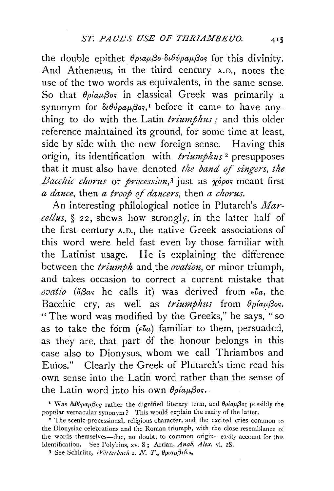the double epithet  $\theta_{\rho\mu\alpha\mu\beta\sigma}$ - $\delta_l\theta_{\nu\rho\alpha\mu\beta\sigma\varsigma}$  for this divinity. And Athenæus, in the third century A.D., notes the use of the two words as equivalents, in the same sense. So that  $\theta \rho / \alpha \mu \beta$ os in classical Greek was primarily a synonym for  $\delta u \theta \psi \rho \alpha \mu \beta \delta s$ , before it came to have anything to do with the Latin *triumphus;* and this older reference maintained its ground, for some time at least, side by side with the new foreign sense. Having this origin, its identification with *triumphus* 2 presupposes that it must also have denoted *the band of singers, the Bacchic chorus* or *procession*,<sup>3</sup> just as *x*<sup>*ópos* meant first</sup> *a dance,* then *a troop o.f dancers,* then *a chorus.* 

An interesting philological notice in Plutarch's *Marcellus,* § 22, shews how strongly, in the latter half of the first century A.D., the native Greek associations of this word were held fast even by those familiar with the Latinist usage. He is explaining the difference between the *triumph* and the *ovation*, or minor triumph, and takes occasion to correct a current mistake that  *(* $\delta\beta as$  *he calls it) was derived from*  $\epsilon ba$ *, the* Bacchic cry, as well as *triumphus* from  $\theta \rho / a \mu \beta \sigma s$ . "The word was modified by the Greeks," he says, "so as to take the form  $(\epsilon \hat{\nu} a)$  familiar to them, persuaded, as they are, that part of the honour belongs in this case also to Dionysus, whom we call Thriambos and Euïos." Clearly the Greek of Plutarch's time read his own sense into the Latin word rather than the sense of the Latin word into his own  $\theta \rho \dot{\alpha} \mu \beta \dot{\beta} \delta \dot{\beta}$ .

<sup>3</sup> See Schirlitz, *Wörterbuch z. N. T.*, θριαμβιύω.

<sup>&</sup>lt;sup>1</sup> Was διθύραμβος rather the dignified literary term, and θρίαμβος possibly the popular vernacular synonym? This would explain the rarity of the latter.<br><sup>2</sup> The scenic-processional, religious character, and the excited cries common to

the Dionysiac celebrations and the Roman triumph, with the close resemblance o{ the words themselves-due, no doubt, to common origin-easily account for this identification. See Polybius, xv. 8; Arrian, Anab. Alex. vi. 28.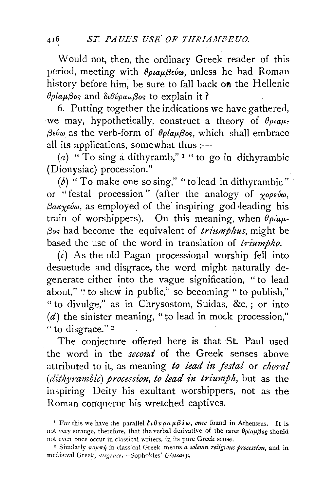Would not, then. the ordinary Greek reader of this period, meeting with θριαμβεύω, unless he had Roman history before him, be sure to fall back on the Hellenic *θρίαμβος* and διθύραμβος to explain it?

6. Putting together the indications we have gathered, we may, hypothetically, construct a theory of  $\theta_{\rho\mu\alpha\mu}$ . *βεύω* as the verb-form of *θρίαμβος*, which shall embrace all its applications, somewhat thus  $:=$ 

(a) "To sing a dithyramb,"<sup>1</sup> " to go in dithyrambic (Dionysiac) procession."

( $b$ ) "To make one so sing," "to lead in dithyrambic" or " festal procession " (after the analogy of *xopeuw, (3aKxeuw,* as employed of the· inspiring god ·leading his train of worshippers). On this meaning, when  $\theta \rho / \alpha \mu$ -*(3or;* had become the equivalent of *triumphus,* might be based the use of the word in translation of *triumpho.* 

 $(c)$  As the old Pagan processional worship fell into desuetude and disgrace, the word might naturally degenerate either into the vague signification, " to lead about," " to shew in public," so becoming " to publish," " to divulge," as in Chrysostom, Suidas, &c. ; or into  $(d)$  the sinister meaning, "to lead in mock procession," " to disgrace."<sup>2</sup>

The conjecture offered here is that St. Paul used the word in the *second* of the Greek senses above attributed to it, as meaning *to lead in festal* or *choral (dithyrambic) procession, to lead in triumph,* but as the inspiring Deity his exultant worshippers, not as the Roman conqueror his wretched captives.

<sup>&</sup>lt;sup>1</sup> For this we have the parallel  $\delta \iota \theta \nu \rho \alpha \mu \beta \dot{\epsilon} \omega$ , *once* found in Atheneus. It is not very strange, therefore, that the verbal derivative of the rarer  $\theta \rho i \alpha \mu \beta o \rho$  should not even once occur in classical writers, in its pure Greek sense.<br><sup>2</sup> Similarly πομπή in classical Greek means *a solemn religious procession*, and in

mediæval Greek, disgrace.-Sophokles' Glossary.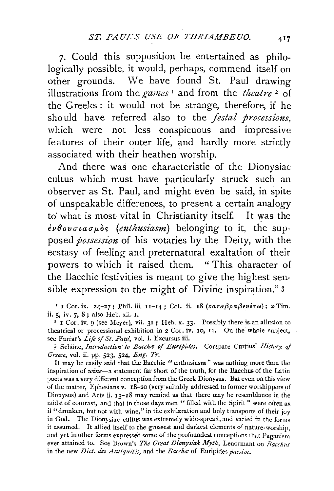7· Could this supposition be entertained as philologically possible, it would, perhaps, commend itself on other grounds. We have found St. Paul drawing illustrations from the *games* 1 and from the *theatre* 2 of the Greeks : it would not be strange, therefore, if he should have referred also to the *festal processions,*  which were not less conspicuous and impressive features of their outer life, and hardly more strictly associated with their heathen worship.

And there was one characteristic of the Dionysiac cultus which must have particularly struck such an observer as St. Paul, and might even be said, in spite of unspeakable differences, to present a certain analogy to what is most vital in Christianity itself. It was the  $\epsilon\nu\theta$ ovσιασμός (enthusiasm) belonging to it, the supposed *possession* of his votaries by the Deity, with the ecstasy of feeling and preternatural exaltation of their powers to which it raised them. "This character of the Bacchic festivities is meant to give the highest sensible expression to the might of Divine inspiration." $3$ 

<sup>1</sup> I Cor. ix. 24-27; Phil. iii. II-I4; Col. ii. 18 ( $\kappa a \tau a \beta \rho a \beta \epsilon \nu \epsilon \tau \omega$ ); 2 Tim. ii. 5, iv. 7, 8; also Heb. xii. 1.

 $\degree$  I Cor, iv. 9 (see Meyer), vii. 3I; Heb. x. 33. Possibly there is an allusion to theatrical or processional exhibition in 2 Cor. iv. 10, 11. On the whole subject, see Farrar's *Life* of *St. Paul,* vol. i. Excursus iii.

3 Schone, *bttroduction to Baccha: o/Euripidcs.* Compare Curtius' *History* of *Greece,* vol. ii. pp. 523, 524, *Eng. Tr.* 

It may be easily said that the Bacchic " enthusiasm" was nothing more than the inspiration of *wine*-a statement far short of the truth, for the Bacchus of the Latin poets was a very different conception from the Greek Dionysus. But even on this view of the matter, Ephesians v. I8-20 (very suitably addressed to former worshippers of Dionysus) and Acts ii. 13-18 may remind us that there may be resemblance in the midst of contrast, and that in those days men "filled with the Spirit" were often as it "dnmken, hut not with wine," in the exhilaration and holy transports of their joy in God. The Dionysiac cultus was extremely wide-spread, and varied in the forms it assumed. It allied itself to the grossest and darkest elements of nature-worship, and yet in other forms expressed some of the profoundest conceptions that Paganism ever attained to. See Brown's *The Great Dionysiak Myth*, Lenormant on *Bacchus* in the new *Dict. des Antiquités*, and the *Baccha*: of Euripides *passim.*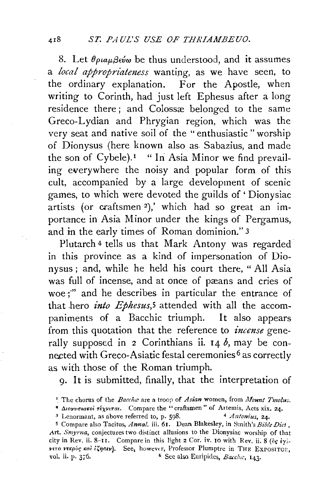8. Let  $\theta_{\rho}$  La $\theta_{\rho}$  be thus understood, and it assumes a *local appropriateness* wanting, as we have seen, to the ordinary explanation. For the Apostle, when writing to Corinth, had just left Ephesus after a long residence there; and Colossæ belonged to the same Greco-Lydian and Phrygian region, which was the very seat and native soil of the "enthusiastic" worship of Dionysus (here known also as Sabazius, and made the son of Cybele).<sup>1</sup> "In Asia Minor we find prevailing everywhere the noisy and popular form of this cult, accompanied by a large development of scenic games, to which were devoted the guilds of' Dionysiac artists (or craftsmen 2),' which had so great an importance in Asia Minor under the kings of Pergamus, and in the early times of Roman dominion." 3

Plutarch 4 tells us that Mark Antony was regarded in this province as a kind of impersonation of Dionysus ; and, while he held his court there, " All Asia was full of incense, and at once of pæans and cries of woe;" and he describes in particular the entrance of that hero *into Ephesus*,<sup>5</sup> attended with all the accompaniments of a Bacchic triumph. It also appears from this quotation that the reference to *incense* generally supposed in 2 Corinthians ii.  $14 b$ , may be connected with Greco-Asiatic festal ceremonies 6 as correctly as with those of the Roman triumph.

9· It is submitted, finally, that the interpretation of

<sup>&#</sup>x27; The chorus of the *Bacclur* are a troop of *Asian* women, from *llfount Tmolus.* 

<sup>&</sup>lt;sup>4</sup> Διογυσιακοί τέχνιται. Compare the "craftsmen" of Artemis, Acts xix. 24.

<sup>&</sup>lt;sup>3</sup> Lenormant, as above referred to, p. 598. 4 *Antonius*, 24.

s Compare also Tacitus, *Anna!.* iii. 61. Dean Blakesley, in Smith's *Bible Diet* , Art. *Smyrna,* conjectures two distinct allusions to the Dionysiac worship of that city in Rev. ii. 8-II. Compare in this light 2 Cor. iv. 10 with Rev. ii. 8 ( $\partial$ c  $\dot{\epsilon}$ y. *v*<sup>tro</sup> *r*<sup>kpoc</sup> *kai i*<*i*yotv). See, however, Professor Plumptre in THE EXPOSITOI. vol. ii. p.  $376.$  6 See also Euripides, *Baccha*,  $143.$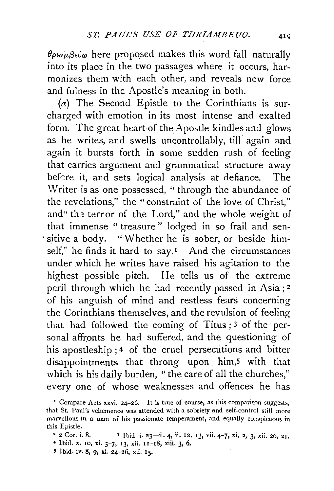$\theta$ *plaµ* $\beta$ *εύω* here proposed makes this word fall naturally into its place in the two passages where it occurs, harmonizes them with each other, and reveals new force and fulness in the Apostle's meaning in both.

 $(a)$  The Second Epistle to the Corinthians is surcharged with emotion in its most intense and exalted form. The great heart of the Apostle kindles and glows as he writes, and swells uncontrollably, till again and again it bursts forth in some sudden rush of feeling that carries argument and grammatical structure away before it, and sets logical analysis at defiance. The Writer is as one possessed, " through the abundance of the revelations," the "constraint of the love of Christ," and" the terror of the Lord," and the whole weight of that immense " treasure " lodged in so frail and sen- . sitive a body. "Whether he is sober, or beside himself," he finds it hard to say.<sup>1</sup> And the circumstances under which he writes have raised his agitation to the highest possible pitch. He tells us of the extreme peril through which he had recently passed in Asia;<sup>2</sup> of his anguish of mind and restless fears concerning the Corinthians themselves, and the revulsion of feeling that had followed the coming of Titus ; 3 of the personal affronts he had suffered, and the questioning of his apostleship; 4 of the cruel persecutions and bitter disappointments that throng upon him,5 with that which is his daily burden, " the care of all the churches," every one of whose weaknesses and offences he has

5 Ibid. iv. 8, 9, xi. 24-26, xii. 15.

<sup>&</sup>lt;sup>1</sup> Compare Acts xxvi. 24-26. It is true of course, as this comparison suggests, that St. Paul's vehemence was attended with a sobriety and self-control still more marvellous in a man of his passionate temperament, and equally conspicuous in this Epistle.

<sup>• 2</sup> Cor. i. 8. 3 Ibhl. i. 23-ii. 4, ii. 12, 13, vii. 4-7, xi. 2, 3, *xii.* 20, 21.

<sup>4</sup> Ibid. x. 10, xi. 5-7, 13, xii. 11-18, xiii. 3, 6.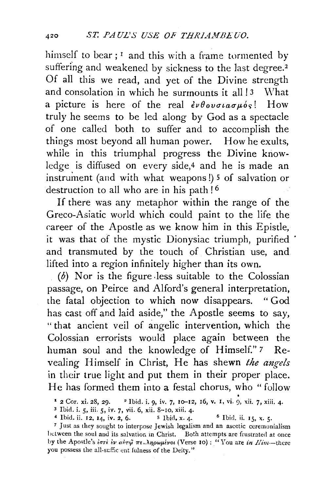himself to bear;  $r$  and this with a frame tormented by suffering and weakened by sickness to the last degree.<sup>2</sup> Of all this we read, and yet of the Divine strength and consolation in which he surmounts it all  $\frac{1}{3}$  What a picture is here of the real  $\partial \theta$ ovoiao $\mu$ ós! How truly he seems to be led along by God as a spectacle of one called both to suffer and to accomplish the things most beyond all human power. How he exults, while in this triumphal progress the Divine knowledge is diffused on every side,4 and he is made an instrument (and with what weapons!) 5 of salvation or destruction to all who are in his path!<sup>6</sup>

If there was any metaphor within the range of the Greco-Asiatic world which could paint to the life the career of the Apostle as we know him in this Epistle, it was that of the mystic Dionysiac triumph, purified and transmuted by the touch of Christian use, and lifted into a region infinitely higher than its own.

 $(b)$  Nor is the figure less suitable to the Colossian passage, on Peirce and Alford's general interpretation, the fatal objection to which now disappears. " God has cast off and laid aside," the Apostle seems to say, "that ancient veil of angelic intervention, which the Colossian errorists would place again between the human soul and the knowledge of Himself." *7* Revealing Himself in Christ, He has shewn *the angels*  in their true light and put them in their proper place. He has formed them into a festal chorus, who "follow

<sup>&</sup>lt;sup>2</sup> 2 Cor. xi. 28, 29. <sup>2</sup> Ibid. i. 9, iv. 7, 10-12, 16, v. 1, vi. 9, xii. 7, xiii. 4.<br><sup>3</sup> Ibid. i. 5, iii. 5, iv. 7, vii. 6, xii. 8-10, xiii. 4.<br><sup>4</sup> Ibid. ii. 12, 14, iv. 2, 6. <sup>5</sup> Ibid. x. 4. <sup>6</sup> Ibid. ii. 15, x. 5.<br><sup>7</sup>

het ween the soul and its salvatior, in Christ. Both attempts are frustrated at once by the Apostle's *ιστε εν αύτψ πε. ληρωμένοι* (Verse 10): "You are *in Him*--there you possess the all-sufficient fulness of the Deity."